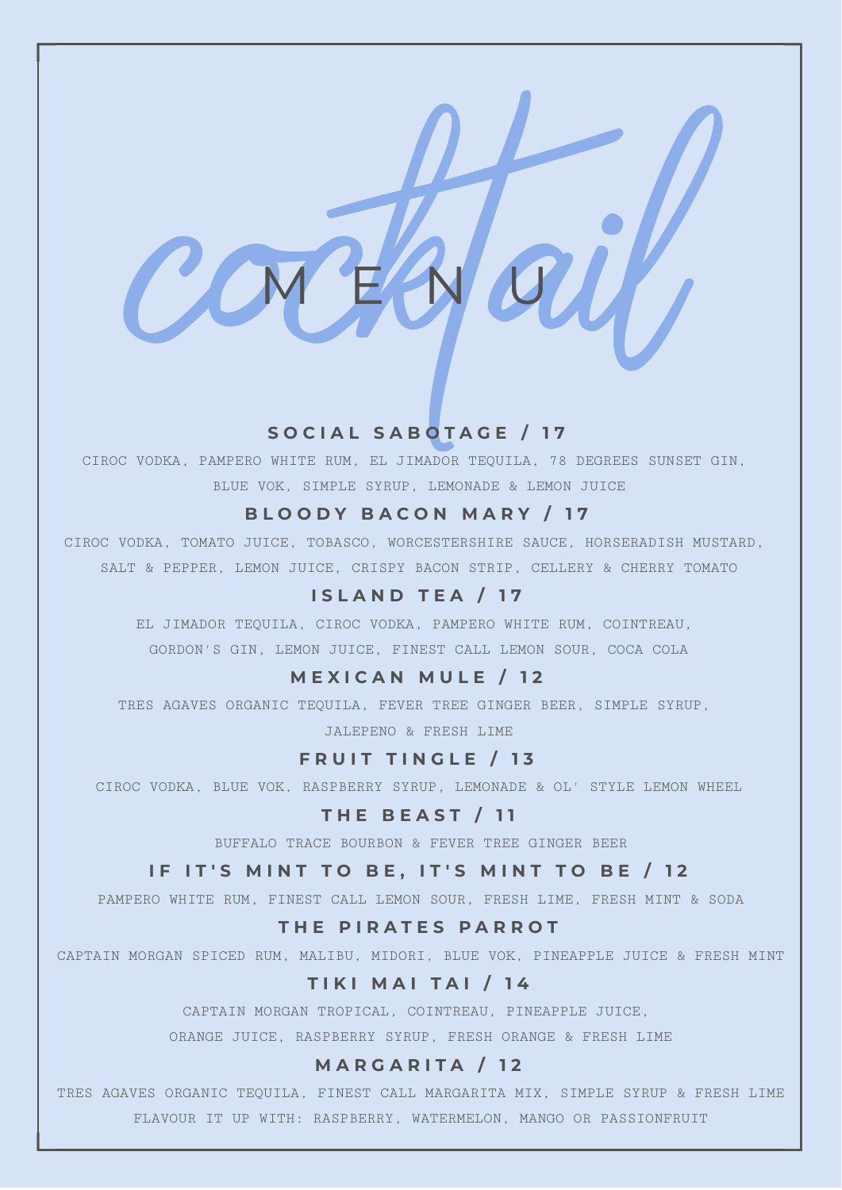### **S O C I A L S A B O T A G E / 1 7**

M E N U

SOCIAL SABOTAGE / 17<br>SOCIAL SABOTAGE / 17<br>SUUS VOK. PAMPERO WHITE RUM. EL JIMADOR TEQUILA, TÉ DEGRESS SURSE<br>SLUS VOK. SIMELE SYRUP. LEMONDE & LEMON JUICE<br>ODKA, TONATO JUICE, TOBASCO, NORCESTERSHIRE SAUCE, HORSERADISH<br>T & P CIROC VODKA, PAMPERO WHITE RUM, EL JIMADOR TEQUILA, 78 DEGREES SUNSET GIN, BLUE VOK, SIMPLE SYRUP, LEMONADE & LEMON JUICE

### **B L O O D Y B A C O N M A R Y / 1 7**

CIROC VODKA, TOMATO JUICE, TOBASCO, WORCESTERSHIRE SAUCE, HORSERADISH MUSTARD, SALT & PEPPER, LEMON JUICE, CRISPY BACON STRIP, CELLERY & CHERRY TOMATO

### **I S L A N D T E A / 1 7**

EL JIMADOR TEQUILA, CIROC VODKA, PAMPERO WHITE RUM, COINTREAU, GORDON'S GIN, LEMON JUICE, FINEST CALL LEMON SOUR, COCA COLA

# **M E X I C A N M U L E / 1 2**

TRES AGAVES ORGANIC TEQUILA, FEVER TREE GINGER BEER, SIMPLE SYRUP, JALEPENO & FRESH LIME

#### **F R U I T T I N G L E / 1 3**

CIROC VODKA, BLUE VOK, RASPBERRY SYRUP, LEMONADE & OL' STYLE LEMON WHEEL

#### **T H E B E A S T / 1 1**

BUFFALO TRACE BOURBON & FEVER TREE GINGER BEER

### IF IT'S MINT TO BE, IT'S MINT TO BE / 12

PAMPERO WHITE RUM, FINEST CALL LEMON SOUR, FRESH LIME, FRESH MINT & SODA

#### **T H E P I R A T E S P A R R O T**

CAPTAIN MORGAN SPICED RUM, MALIBU, MIDORI, BLUE VOK, PINEAPPLE JUICE & FRESH MINT

### **T I K I M A I T A I / 1 4**

CAPTAIN MORGAN TROPICAL, COINTREAU, PINEAPPLE JUICE,

ORANGE JUICE, RASPBERRY SYRUP, FRESH ORANGE & FRESH LIME

#### **M A R G A R I T A / 1 2**

TRES AGAVES ORGANIC TEQUILA, FINEST CALL MARGARITA MIX, SIMPLE SYRUP & FRESH LIME FLAVOUR IT UP WITH: RASPBERRY, WATERMELON, MANGO OR PASSIONFRUIT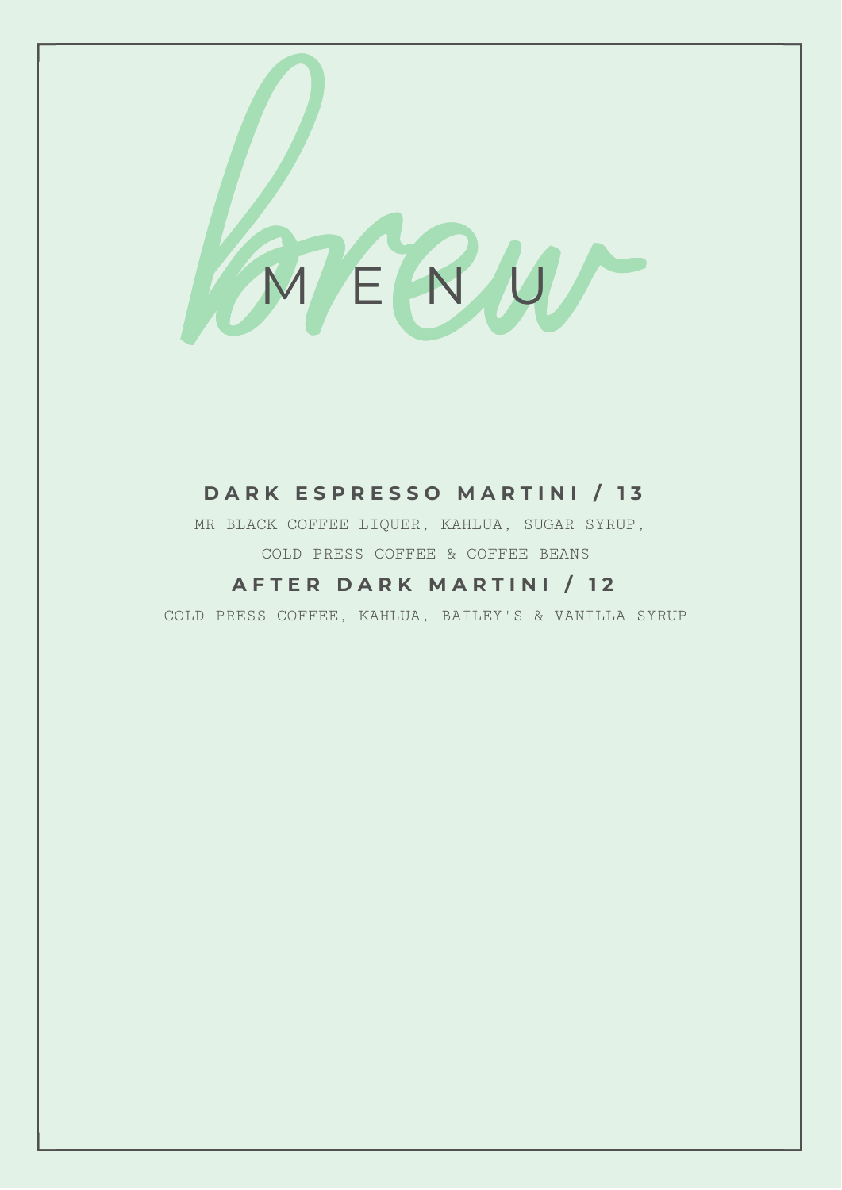

# **D A R K E S P R E S S O M A R T I N I / 1 3**

MR BLACK COFFEE LIQUER, KAHLUA, SUGAR SYRUP, COLD PRESS COFFEE & COFFEE BEANS

# **A F T E R D A R K M A R T I N I / 1 2**

COLD PRESS COFFEE, KAHLUA, BAILEY'S & VANILLA SYRUP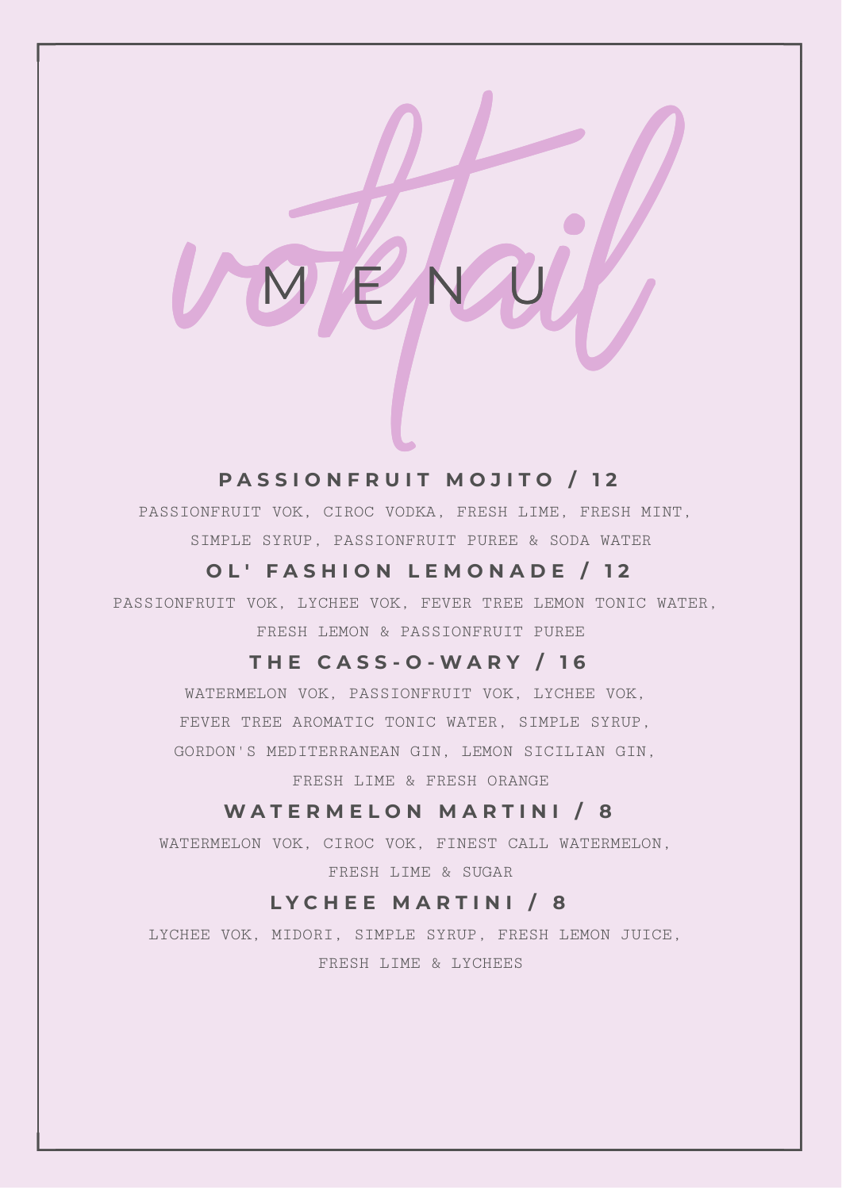# **P A S S I O N F R U I T M O J I T O / 1 2**

M E N U

PASSIONFRUIT MOJITO / 12<br>PASSIONFRUIT MOJITO / 12<br>SIMPLE STRUP, PASSIONFRUIT PURER & SODA WATER<br>OL' FASHION LEMONADE / 12<br>OL' FASHION LEMONADE / 12 PASSIONFRUIT VOK, CIROC VODKA, FRESH LIME, FRESH MINT, SIMPLE SYRUP, PASSIONFRUIT PUREE & SODA WATER

# **O L ' F A S H I O N L E M O N A D E / 1 2**

PASSIONFRUIT VOK, LYCHEE VOK, FEVER TREE LEMON TONIC WATER, FRESH LEMON & PASSIONFRUIT PUREE

# **T H E C A S S - O - W A R Y / 1 6**

WATERMELON VOK, PASSIONFRUIT VOK, LYCHEE VOK, FEVER TREE AROMATIC TONIC WATER, SIMPLE SYRUP, GORDON'S MEDITERRANEAN GIN, LEMON SICILIAN GIN,

FRESH LIME & FRESH ORANGE

# **W A T E R M E L O N M A R T I N I / 8**

WATERMELON VOK, CIROC VOK, FINEST CALL WATERMELON, FRESH LIME & SUGAR

# **L Y C H E E M A R T I N I / 8**

LYCHEE VOK, MIDORI, SIMPLE SYRUP, FRESH LEMON JUICE, FRESH LIME & LYCHEES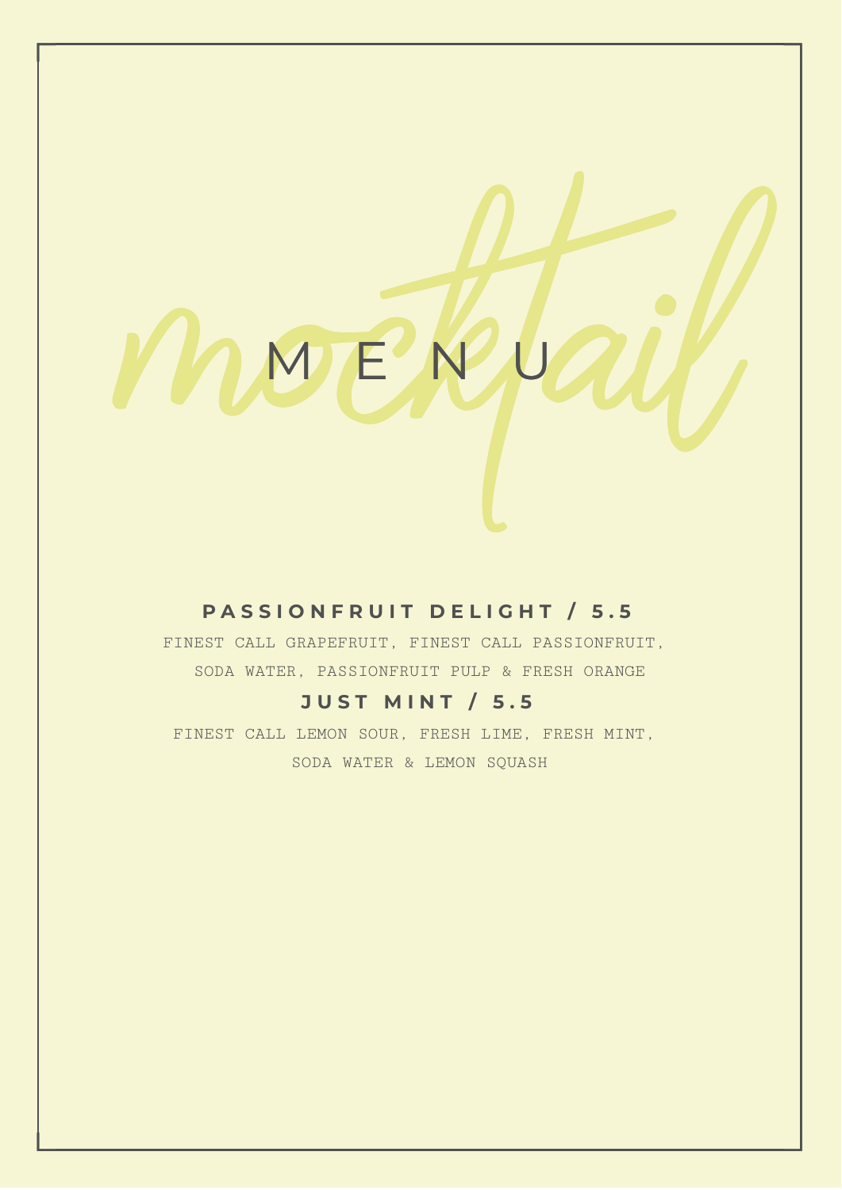M E N U

# **P A S S I O N F R U I T D E L I G H T / 5 . 5**

**MMERLAIL** FINEST CALL GRAPEFRUIT, FINEST CALL PASSIONFRUIT, SODA WATER, PASSIONFRUIT PULP & FRESH ORANGE

# **J U S T M I N T / 5 . 5**

FINEST CALL LEMON SOUR, FRESH LIME, FRESH MINT, SODA WATER & LEMON SQUASH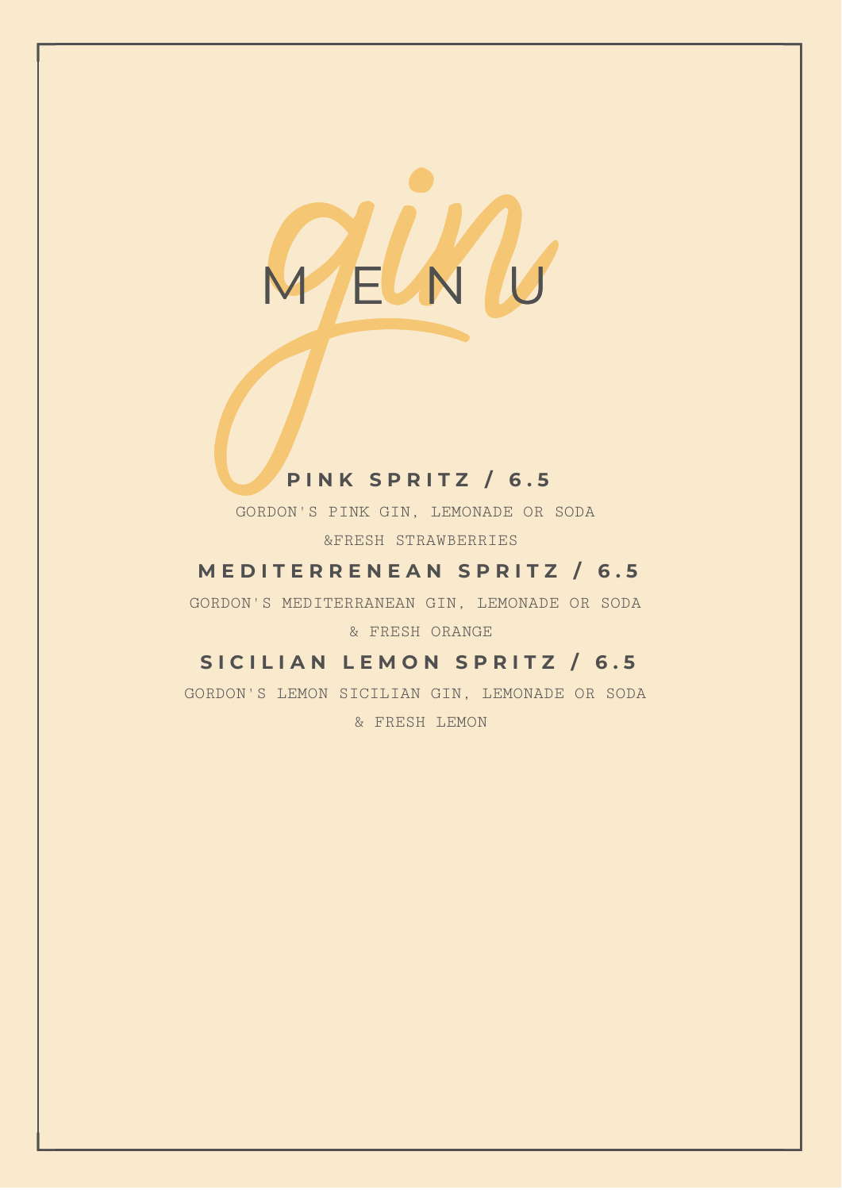

# **P I N K S P R I T Z / 6 . 5**

GORDON'S PINK GIN, LEMONADE OR SODA &FRESH STRAWBERRIES

# **M E D I T E R R E N E A N S P R I T Z / 6 . 5**

GORDON'S MEDITERRANEAN GIN, LEMONADE OR SODA & FRESH ORANGE

# **S I C I L I A N L E M O N S P R I T Z / 6 . 5**

GORDON'S LEMON SICILIAN GIN, LEMONADE OR SODA & FRESH LEMON